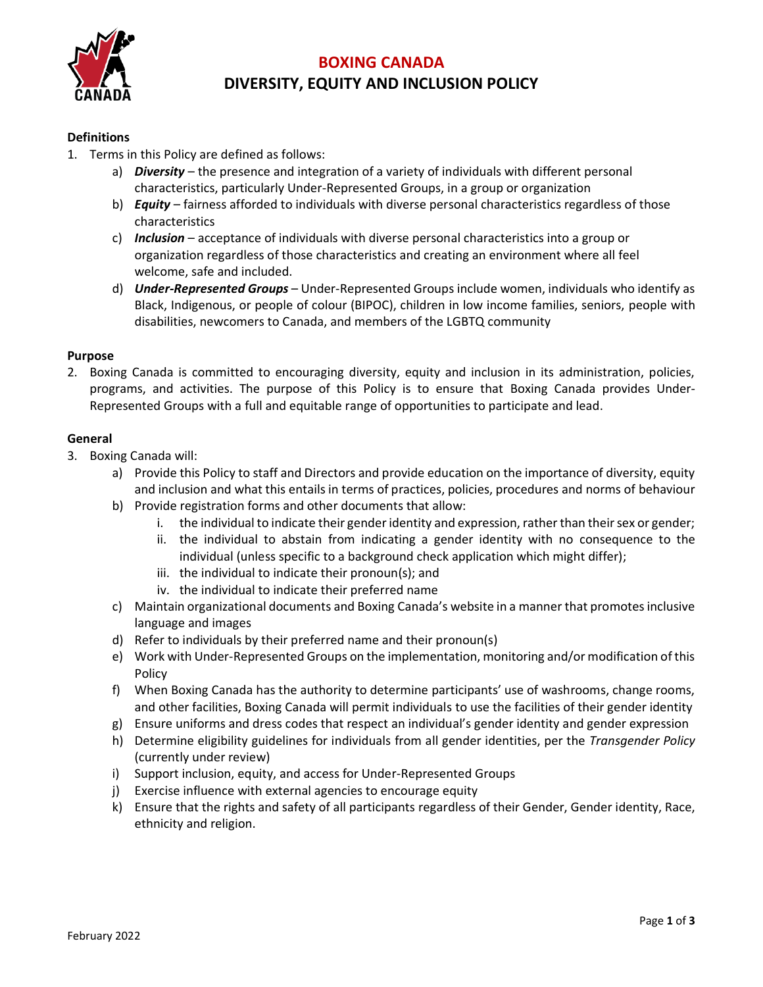

# **BOXING CANADA DIVERSITY, EQUITY AND INCLUSION POLICY**

# **Definitions**

- 1. Terms in this Policy are defined as follows:
	- a) *Diversity* the presence and integration of a variety of individuals with different personal characteristics, particularly Under-Represented Groups, in a group or organization
	- b) *Equity* fairness afforded to individuals with diverse personal characteristics regardless of those characteristics
	- c) *Inclusion* acceptance of individuals with diverse personal characteristics into a group or organization regardless of those characteristics and creating an environment where all feel welcome, safe and included.
	- d) *Under-Represented Groups* Under-Represented Groups include women, individuals who identify as Black, Indigenous, or people of colour (BIPOC), children in low income families, seniors, people with disabilities, newcomers to Canada, and members of the LGBTQ community

### **Purpose**

2. Boxing Canada is committed to encouraging diversity, equity and inclusion in its administration, policies, programs, and activities. The purpose of this Policy is to ensure that Boxing Canada provides Under-Represented Groups with a full and equitable range of opportunities to participate and lead.

### **General**

- 3. Boxing Canada will:
	- a) Provide this Policy to staff and Directors and provide education on the importance of diversity, equity and inclusion and what this entails in terms of practices, policies, procedures and norms of behaviour
	- b) Provide registration forms and other documents that allow:
		- i. the individual to indicate their gender identity and expression, rather than their sex or gender;
		- ii. the individual to abstain from indicating a gender identity with no consequence to the individual (unless specific to a background check application which might differ);
		- iii. the individual to indicate their pronoun(s); and
		- iv. the individual to indicate their preferred name
	- c) Maintain organizational documents and Boxing Canada's website in a manner that promotes inclusive language and images
	- d) Refer to individuals by their preferred name and their pronoun(s)
	- e) Work with Under-Represented Groups on the implementation, monitoring and/or modification of this Policy
	- f) When Boxing Canada has the authority to determine participants' use of washrooms, change rooms, and other facilities, Boxing Canada will permit individuals to use the facilities of their gender identity
	- g) Ensure uniforms and dress codes that respect an individual's gender identity and gender expression
	- h) Determine eligibility guidelines for individuals from all gender identities, per the *Transgender Policy* (currently under review)
	- i) Support inclusion, equity, and access for Under-Represented Groups
	- j) Exercise influence with external agencies to encourage equity
	- k) Ensure that the rights and safety of all participants regardless of their Gender, Gender identity, Race, ethnicity and religion.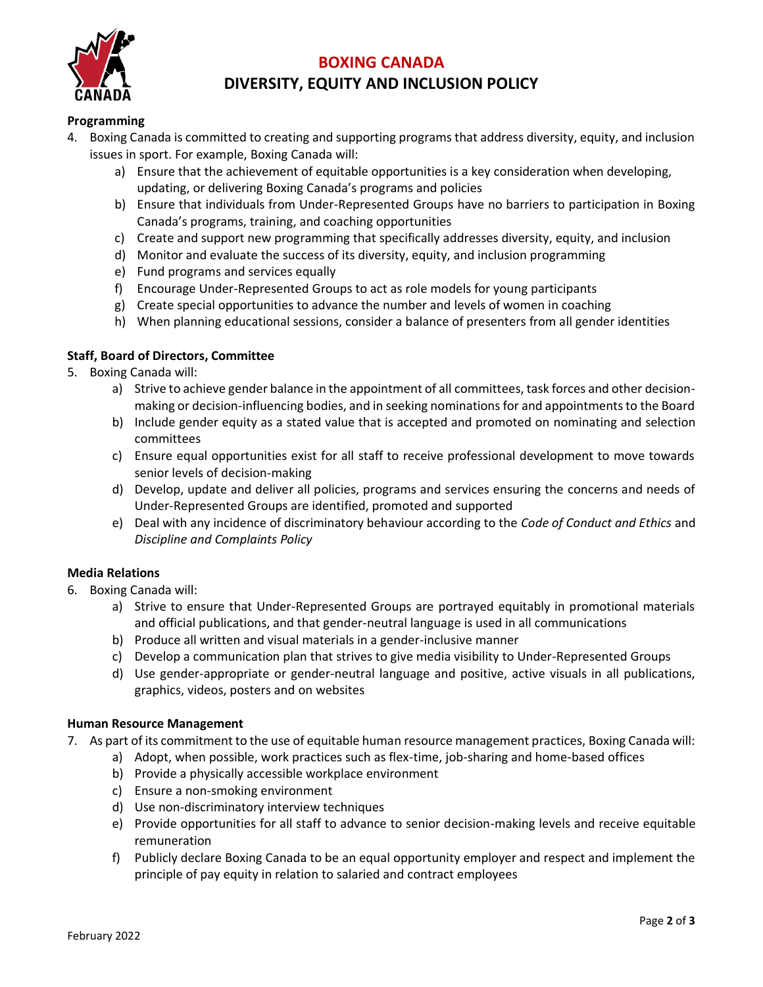

# **BOXING CANADA DIVERSITY, EQUITY AND INCLUSION POLICY**

# **Programming**

- 4. Boxing Canada is committed to creating and supporting programs that address diversity, equity, and inclusion issues in sport. For example, Boxing Canada will:
	- a) Ensure that the achievement of equitable opportunities is a key consideration when developing, updating, or delivering Boxing Canada's programs and policies
	- b) Ensure that individuals from Under-Represented Groups have no barriers to participation in Boxing Canada's programs, training, and coaching opportunities
	- c) Create and support new programming that specifically addresses diversity, equity, and inclusion
	- d) Monitor and evaluate the success of its diversity, equity, and inclusion programming
	- e) Fund programs and services equally
	- f) Encourage Under-Represented Groups to act as role models for young participants
	- g) Create special opportunities to advance the number and levels of women in coaching
	- h) When planning educational sessions, consider a balance of presenters from all gender identities

### **Staff, Board of Directors, Committee**

- 5. Boxing Canada will:
	- a) Strive to achieve gender balance in the appointment of all committees, task forces and other decisionmaking or decision-influencing bodies, and in seeking nominations for and appointments to the Board
	- b) Include gender equity as a stated value that is accepted and promoted on nominating and selection committees
	- c) Ensure equal opportunities exist for all staff to receive professional development to move towards senior levels of decision-making
	- d) Develop, update and deliver all policies, programs and services ensuring the concerns and needs of Under-Represented Groups are identified, promoted and supported
	- e) Deal with any incidence of discriminatory behaviour according to the *Code of Conduct and Ethics* and *Discipline and Complaints Policy*

### **Media Relations**

- 6. Boxing Canada will:
	- a) Strive to ensure that Under-Represented Groups are portrayed equitably in promotional materials and official publications, and that gender-neutral language is used in all communications
	- b) Produce all written and visual materials in a gender-inclusive manner
	- c) Develop a communication plan that strives to give media visibility to Under-Represented Groups
	- d) Use gender-appropriate or gender-neutral language and positive, active visuals in all publications, graphics, videos, posters and on websites

#### **Human Resource Management**

- 7. As part of its commitment to the use of equitable human resource management practices, Boxing Canada will:
	- a) Adopt, when possible, work practices such as flex-time, job-sharing and home-based offices
	- b) Provide a physically accessible workplace environment
	- c) Ensure a non-smoking environment
	- d) Use non-discriminatory interview techniques
	- e) Provide opportunities for all staff to advance to senior decision-making levels and receive equitable remuneration
	- f) Publicly declare Boxing Canada to be an equal opportunity employer and respect and implement the principle of pay equity in relation to salaried and contract employees